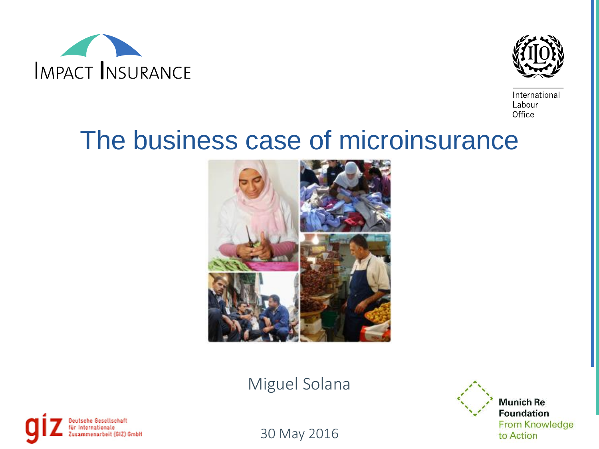



International Labour Office

## The business case of microinsurance



Miguel Solana



**Munich Re Foundation From Knowledge** to Action

30 May 2016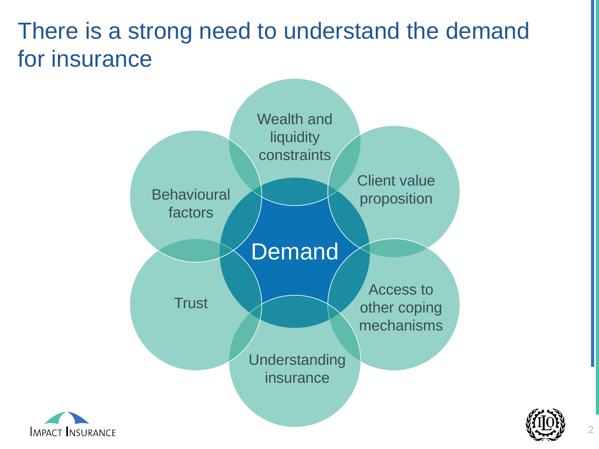## There is a strong need to understand the deman[d](#page-2-0)  for insurance





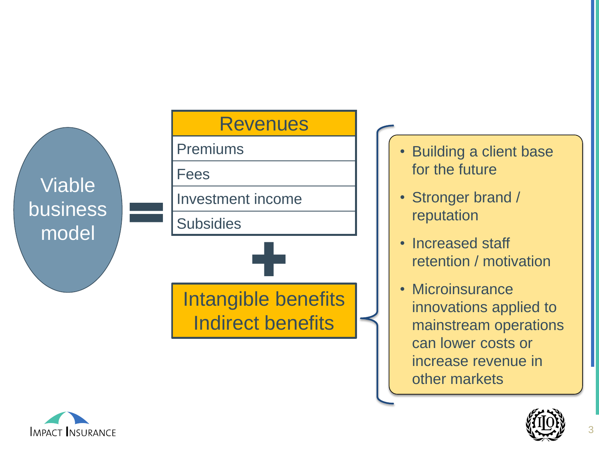

- **Building a client base** for the future
- Stronger brand / reputation
- Increased staff retention / motivation
- Microinsurance innovations applied to mainstream operations can lower costs or increase revenue in other markets

<span id="page-2-0"></span>

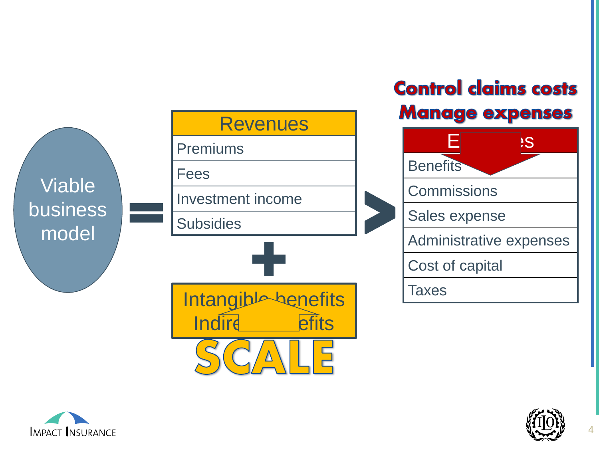





4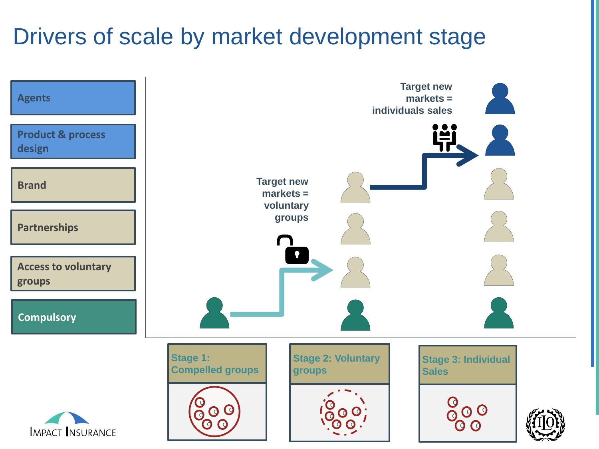## Drivers of scale by market development stage

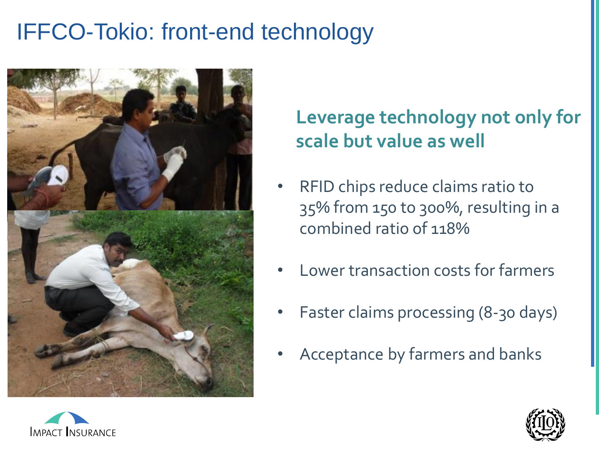## IFFCO-Tokio: front-end technology



### **Leverage technology not only for scale but value as well**

- RFID chips reduce claims ratio to 35% from 150 to 300%, resulting in a combined ratio of 118%
- Lower transaction costs for farmers
- Faster claims processing (8-30 days)
- Acceptance by farmers and banks



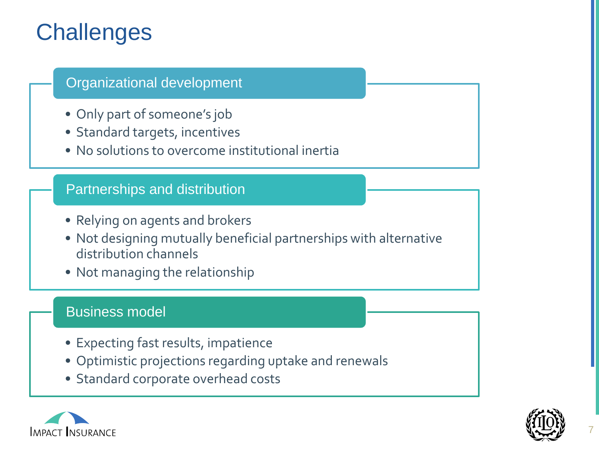## **Challenges**

#### Organizational development

- Only part of someone's job
- Standard targets, incentives
- No solutions to overcome institutional inertia

#### Partnerships and distribution

- Relying on agents and brokers
- Not designing mutually beneficial partnerships with alternative distribution channels
- Not managing the relationship

#### Business model

- Expecting fast results, impatience
- Optimistic projections regarding uptake and renewals
- Standard corporate overhead costs



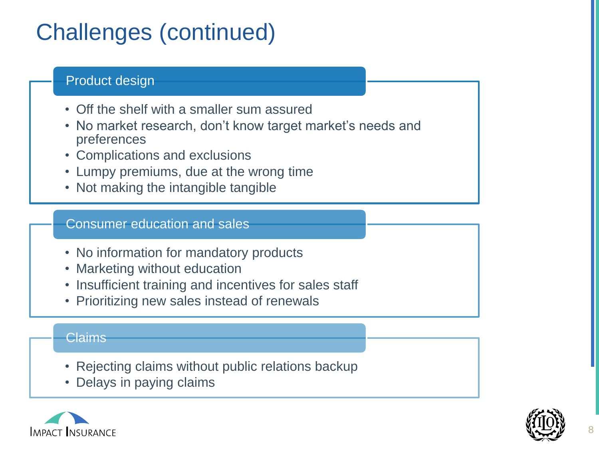## Challenges (continued)

#### Product design

- Off the shelf with a smaller sum assured
- No market research, don't know target market's needs and preferences
- Complications and exclusions
- Lumpy premiums, due at the wrong time
- Not making the intangible tangible

#### Consumer education and sales

- No information for mandatory products
- Marketing without education
- Insufficient training and incentives for sales staff
- Prioritizing new sales instead of renewals

#### Claims

- Rejecting claims without public relations backup
- Delays in paying claims



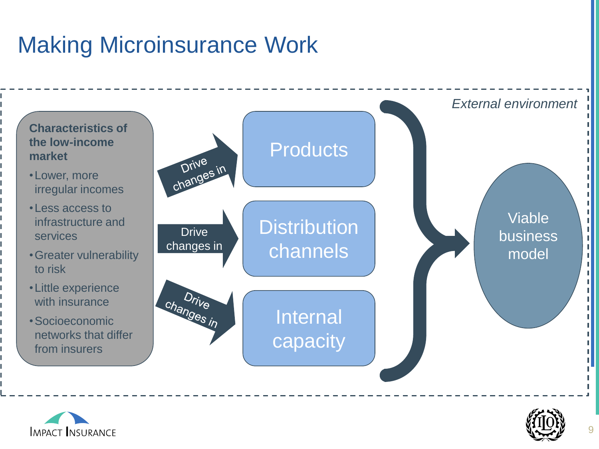## Making Microinsurance Work